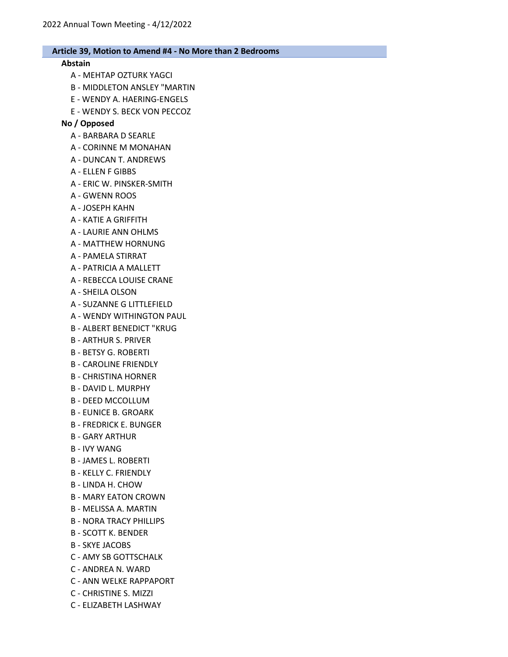# Abstain

- A MEHTAP OZTURK YAGCI
- B MIDDLETON ANSLEY "MARTIN
- E WENDY A. HAERING-ENGELS
- E WENDY S. BECK VON PECCOZ

# No / Opposed

- A BARBARA D SEARLE
- A CORINNE M MONAHAN
- A DUNCAN T. ANDREWS
- A ELLEN F GIBBS
- A ERIC W. PINSKER-SMITH
- A GWENN ROOS
- A JOSEPH KAHN
- A KATIE A GRIFFITH
- A LAURIE ANN OHLMS
- A MATTHEW HORNUNG
- A PAMELA STIRRAT
- A PATRICIA A MALLETT
- A REBECCA LOUISE CRANE
- A SHEILA OLSON
- A SUZANNE G LITTLEFIELD
- A WENDY WITHINGTON PAUL
- B ALBERT BENEDICT "KRUG
- B ARTHUR S. PRIVER
- B BETSY G. ROBERTI
- B CAROLINE FRIENDLY
- B CHRISTINA HORNER
- B DAVID L. MURPHY
- B DEED MCCOLLUM
- B EUNICE B. GROARK
- B FREDRICK E. BUNGER
- B GARY ARTHUR
- B IVY WANG
- B JAMES L. ROBERTI
- B KELLY C. FRIENDLY
- B LINDA H. CHOW
- B MARY EATON CROWN
- B MELISSA A. MARTIN
- B NORA TRACY PHILLIPS
- B SCOTT K. BENDER
- B SKYE JACOBS
- C AMY SB GOTTSCHALK
- C ANDREA N. WARD
- C ANN WELKE RAPPAPORT
- C CHRISTINE S. MIZZI
- C ELIZABETH LASHWAY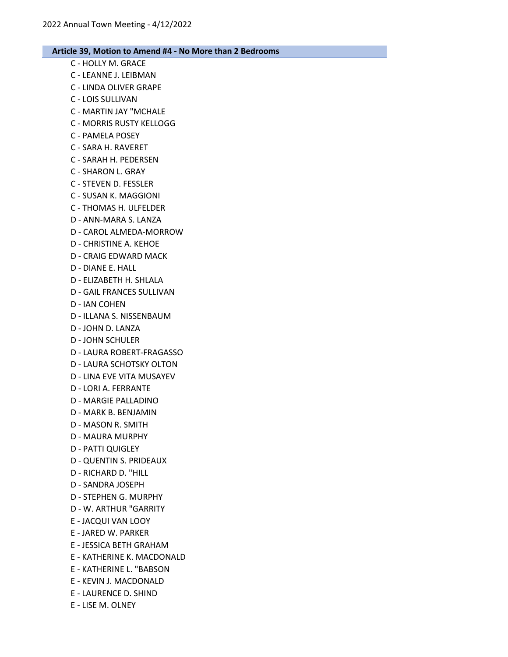- C HOLLY M. GRACE C - LEANNE J. LEIBMAN C - LINDA OLIVER GRAPE C - LOIS SULLIVAN C - MARTIN JAY "MCHALE C - MORRIS RUSTY KELLOGG C - PAMELA POSEY C - SARA H. RAVERET C - SARAH H. PEDERSEN C - SHARON L. GRAY C - STEVEN D. FESSLER C - SUSAN K. MAGGIONI C - THOMAS H. ULFELDER D - ANN-MARA S. LANZA D - CAROL ALMEDA-MORROW D - CHRISTINE A. KEHOE D - CRAIG EDWARD MACK D - DIANE E. HALL D - ELIZABETH H. SHLALA D - GAIL FRANCES SULLIVAN D - IAN COHEN D - ILLANA S. NISSENBAUM D - JOHN D. LANZA D - JOHN SCHULER D - LAURA ROBERT-FRAGASSO D - LAURA SCHOTSKY OLTON D - LINA EVE VITA MUSAYEV D - LORI A. FERRANTE D - MARGIE PALLADINO D - MARK B. BENJAMIN D - MASON R. SMITH D - MAURA MURPHY D - PATTI QUIGLEY D - QUENTIN S. PRIDEAUX D - RICHARD D. "HILL D - SANDRA JOSEPH D - STEPHEN G. MURPHY D - W. ARTHUR "GARRITY E - JACQUI VAN LOOY E - JARED W. PARKER E - JESSICA BETH GRAHAM E - KATHERINE K. MACDONALD E - KATHERINE L. "BABSON E - KEVIN J. MACDONALD E - LAURENCE D. SHIND
	- E LISE M. OLNEY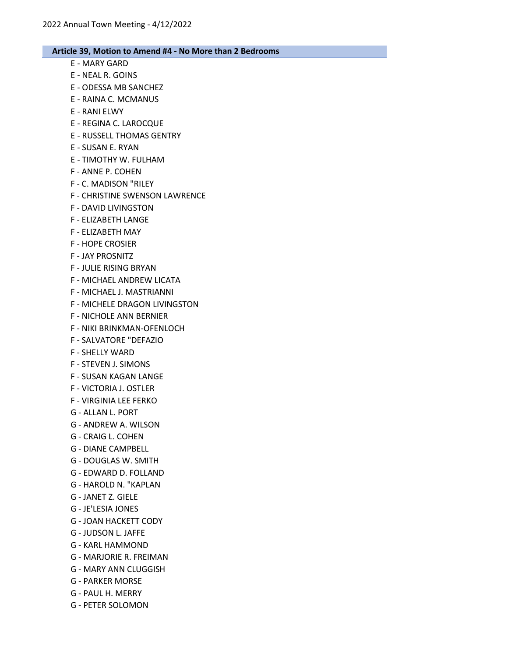- E MARY GARD
- E NEAL R. GOINS
- E ODESSA MB SANCHEZ
- E RAINA C. MCMANUS
- E RANI ELWY
- E REGINA C. LAROCQUE
- E RUSSELL THOMAS GENTRY
- E SUSAN E. RYAN
- E TIMOTHY W. FULHAM
- F ANNE P. COHEN
- F C. MADISON "RILEY
- F CHRISTINE SWENSON LAWRENCE
- F DAVID LIVINGSTON
- F ELIZABETH LANGE
- F ELIZABETH MAY
- F HOPE CROSIER
- F JAY PROSNITZ
- F JULIE RISING BRYAN
- F MICHAEL ANDREW LICATA
- F MICHAEL J. MASTRIANNI
- F MICHELE DRAGON LIVINGSTON
- F NICHOLE ANN BERNIER
- F NIKI BRINKMAN-OFENLOCH
- F SALVATORE "DEFAZIO
- F SHELLY WARD
- F STEVEN J. SIMONS
- F SUSAN KAGAN LANGE
- F VICTORIA J. OSTLER
- F VIRGINIA LEE FERKO
- G ALLAN L. PORT
- G ANDREW A. WILSON
- G CRAIG L. COHEN
- G DIANE CAMPBELL
- G DOUGLAS W. SMITH
- G EDWARD D. FOLLAND
- G HAROLD N. "KAPLAN
- G JANET Z. GIELE
- G JE'LESIA JONES
- G JOAN HACKETT CODY
- G JUDSON L. JAFFE
- G KARL HAMMOND
- G MARJORIE R. FREIMAN
- G MARY ANN CLUGGISH
- G PARKER MORSE
- G PAUL H. MERRY
- G PETER SOLOMON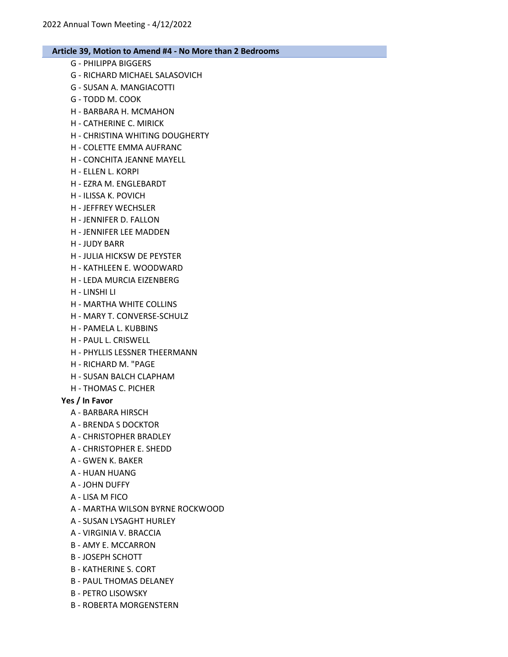- G PHILIPPA BIGGERS
- G RICHARD MICHAEL SALASOVICH
- G SUSAN A. MANGIACOTTI
- G TODD M. COOK
- H BARBARA H. MCMAHON
- H CATHERINE C. MIRICK
- H CHRISTINA WHITING DOUGHERTY
- H COLETTE EMMA AUFRANC
- H CONCHITA JEANNE MAYELL
- H ELLEN L. KORPI
- H EZRA M. ENGLEBARDT
- H ILISSA K. POVICH
- H JEFFREY WECHSLER
- H JENNIFER D. FALLON
- H JENNIFER LEE MADDEN
- H JUDY BARR
- H JULIA HICKSW DE PEYSTER
- H KATHLEEN E. WOODWARD
- H LEDA MURCIA EIZENBERG
- H LINSHI LI
- H MARTHA WHITE COLLINS
- H MARY T. CONVERSE-SCHULZ
- H PAMELA L. KUBBINS
- H PAUL L. CRISWELL
- H PHYLLIS LESSNER THEERMANN
- H RICHARD M. "PAGE
- H SUSAN BALCH CLAPHAM
- H THOMAS C. PICHER

## Yes / In Favor

- A BARBARA HIRSCH
- A BRENDA S DOCKTOR
- A CHRISTOPHER BRADLEY
- A CHRISTOPHER E. SHEDD
- A GWEN K. BAKER
- A HUAN HUANG
- A JOHN DUFFY
- A LISA M FICO
- A MARTHA WILSON BYRNE ROCKWOOD
- A SUSAN LYSAGHT HURLEY
- A VIRGINIA V. BRACCIA
- B AMY E. MCCARRON
- B JOSEPH SCHOTT
- B KATHERINE S. CORT
- B PAUL THOMAS DELANEY
- B PETRO LISOWSKY
- B ROBERTA MORGENSTERN